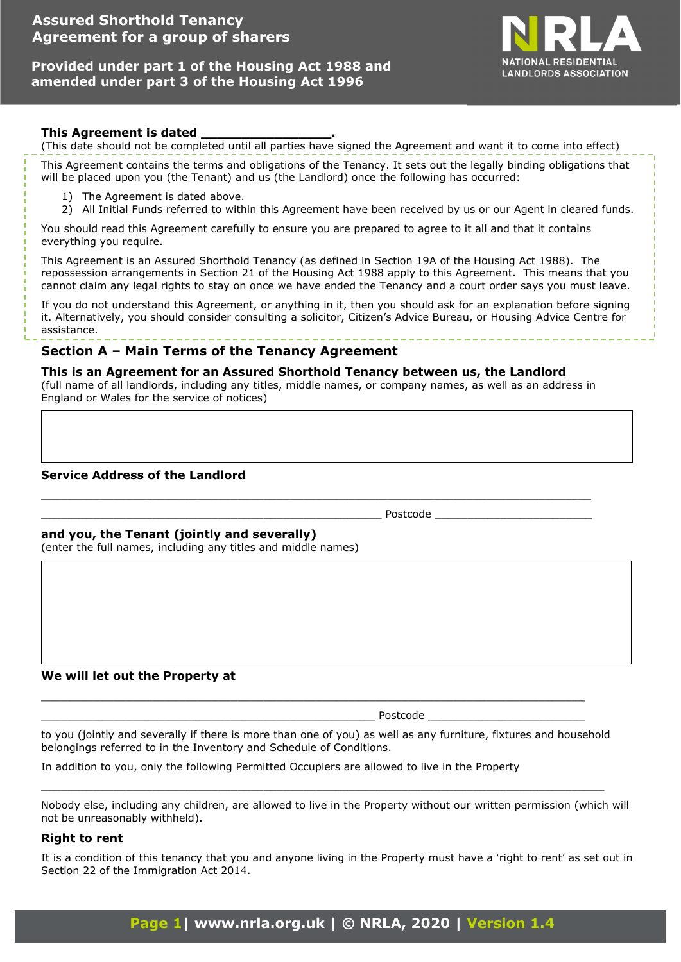# **Assured Shorthold Tenancy Agreement for a group of sharers**

## **Provided under part 1 of the Housing Act 1988 and amended under part 3 of the Housing Act 1996**



### **This Agreement is dated \_\_\_\_\_\_\_\_\_\_\_\_\_\_\_\_.**

(This date should not be completed until all parties have signed the Agreement and want it to come into effect)

This Agreement contains the terms and obligations of the Tenancy. It sets out the legally binding obligations that will be placed upon you (the Tenant) and us (the Landlord) once the following has occurred:

- 1) The Agreement is dated above.
- 2) All Initial Funds referred to within this Agreement have been received by us or our Agent in cleared funds.

You should read this Agreement carefully to ensure you are prepared to agree to it all and that it contains everything you require.

This Agreement is an Assured Shorthold Tenancy (as defined in Section 19A of the Housing Act 1988). The repossession arrangements in Section 21 of the Housing Act 1988 apply to this Agreement. This means that you cannot claim any legal rights to stay on once we have ended the Tenancy and a court order says you must leave.

If you do not understand this Agreement, or anything in it, then you should ask for an explanation before signing it. Alternatively, you should consider consulting a solicitor, Citizen's Advice Bureau, or Housing Advice Centre for assistance.

# **Section A – Main Terms of the Tenancy Agreement**

### **This is an Agreement for an Assured Shorthold Tenancy between us, the Landlord**

(full name of all landlords, including any titles, middle names, or company names, as well as an address in England or Wales for the service of notices)

\_\_\_\_\_\_\_\_\_\_\_\_\_\_\_\_\_\_\_\_\_\_\_\_\_\_\_\_\_\_\_\_\_\_\_\_\_\_\_\_\_\_\_\_\_\_\_\_\_\_\_\_\_\_\_\_\_\_\_\_\_\_\_\_\_\_\_\_\_\_\_\_\_\_\_\_\_\_\_\_\_\_\_\_

#### **Service Address of the Landlord**

\_\_\_\_\_\_\_\_\_\_\_\_\_\_\_\_\_\_\_\_\_\_\_\_\_\_\_\_\_\_\_\_\_\_\_\_\_\_\_\_\_\_\_\_\_\_\_\_\_\_\_\_ Postcode \_\_\_\_\_\_\_\_\_\_\_\_\_\_\_\_\_\_\_\_\_\_\_\_

#### **and you, the Tenant (jointly and severally)**

(enter the full names, including any titles and middle names)

#### **We will let out the Property at**

 $\_$  Postcode  $\_$ 

to you (jointly and severally if there is more than one of you) as well as any furniture, fixtures and household belongings referred to in the Inventory and Schedule of Conditions.

 $\_$  , and the set of the set of the set of the set of the set of the set of the set of the set of the set of the set of the set of the set of the set of the set of the set of the set of the set of the set of the set of th

\_\_\_\_\_\_\_\_\_\_\_\_\_\_\_\_\_\_\_\_\_\_\_\_\_\_\_\_\_\_\_\_\_\_\_\_\_\_\_\_\_\_\_\_\_\_\_\_\_\_\_\_\_\_\_\_\_\_\_\_\_\_\_\_\_\_\_\_\_\_\_\_\_\_\_\_\_\_\_\_\_\_\_

In addition to you, only the following Permitted Occupiers are allowed to live in the Property

Nobody else, including any children, are allowed to live in the Property without our written permission (which will not be unreasonably withheld).

#### **Right to rent**

It is a condition of this tenancy that you and anyone living in the Property must have a 'right to rent' as set out in Section 22 of the Immigration Act 2014.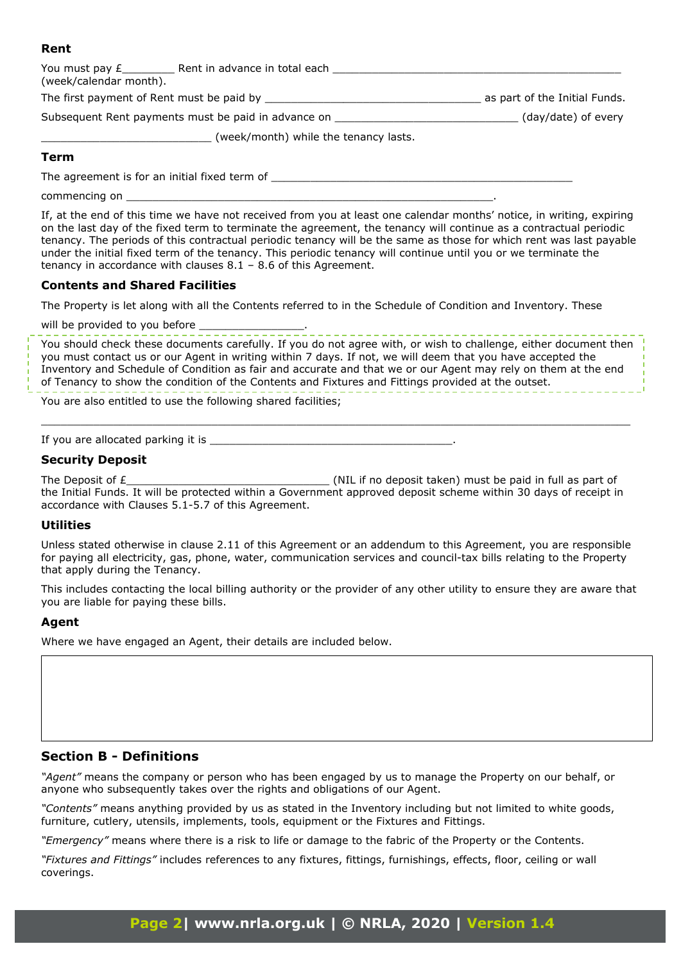## **Rent**

| You must pay £____________ Rent in advance in total each _<br>(week/calendar month). |                               |
|--------------------------------------------------------------------------------------|-------------------------------|
|                                                                                      | as part of the Initial Funds. |
| Subsequent Rent payments must be paid in advance on                                  | (day/date) of every           |
| (week/month) while the tenancy lasts.                                                |                               |
| Term                                                                                 |                               |
| The agreement is for an initial fixed term of                                        |                               |

commencing on

If, at the end of this time we have not received from you at least one calendar months' notice, in writing, expiring on the last day of the fixed term to terminate the agreement, the tenancy will continue as a contractual periodic tenancy. The periods of this contractual periodic tenancy will be the same as those for which rent was last payable under the initial fixed term of the tenancy. This periodic tenancy will continue until you or we terminate the tenancy in accordance with clauses 8.1 – 8.6 of this Agreement.

### **Contents and Shared Facilities**

The Property is let along with all the Contents referred to in the Schedule of Condition and Inventory. These

will be provided to you before

You should check these documents carefully. If you do not agree with, or wish to challenge, either document then you must contact us or our Agent in writing within 7 days. If not, we will deem that you have accepted the Inventory and Schedule of Condition as fair and accurate and that we or our Agent may rely on them at the end of Tenancy to show the condition of the Contents and Fixtures and Fittings provided at the outset.

 $\_$  , and the set of the set of the set of the set of the set of the set of the set of the set of the set of the set of the set of the set of the set of the set of the set of the set of the set of the set of the set of th

You are also entitled to use the following shared facilities;

If you are allocated parking it is  $\_$ 

#### **Security Deposit**

The Deposit of £\_\_\_\_\_\_\_\_\_\_\_\_\_\_\_\_\_\_\_\_\_\_\_\_\_\_\_\_\_\_\_ (NIL if no deposit taken) must be paid in full as part of the Initial Funds. It will be protected within a Government approved deposit scheme within 30 days of receipt in accordance with Clauses 5.1-5.7 of this Agreement.

#### **Utilities**

Unless stated otherwise in clause 2.11 of this Agreement or an addendum to this Agreement, you are responsible for paying all electricity, gas, phone, water, communication services and council-tax bills relating to the Property that apply during the Tenancy.

This includes contacting the local billing authority or the provider of any other utility to ensure they are aware that you are liable for paying these bills.

### **Agent**

Where we have engaged an Agent, their details are included below.

## **Section B - Definitions**

*"Agent"* means the company or person who has been engaged by us to manage the Property on our behalf, or anyone who subsequently takes over the rights and obligations of our Agent.

*"Contents"* means anything provided by us as stated in the Inventory including but not limited to white goods, furniture, cutlery, utensils, implements, tools, equipment or the Fixtures and Fittings.

*"Emergency"* means where there is a risk to life or damage to the fabric of the Property or the Contents.

*"Fixtures and Fittings"* includes references to any fixtures, fittings, furnishings, effects, floor, ceiling or wall coverings.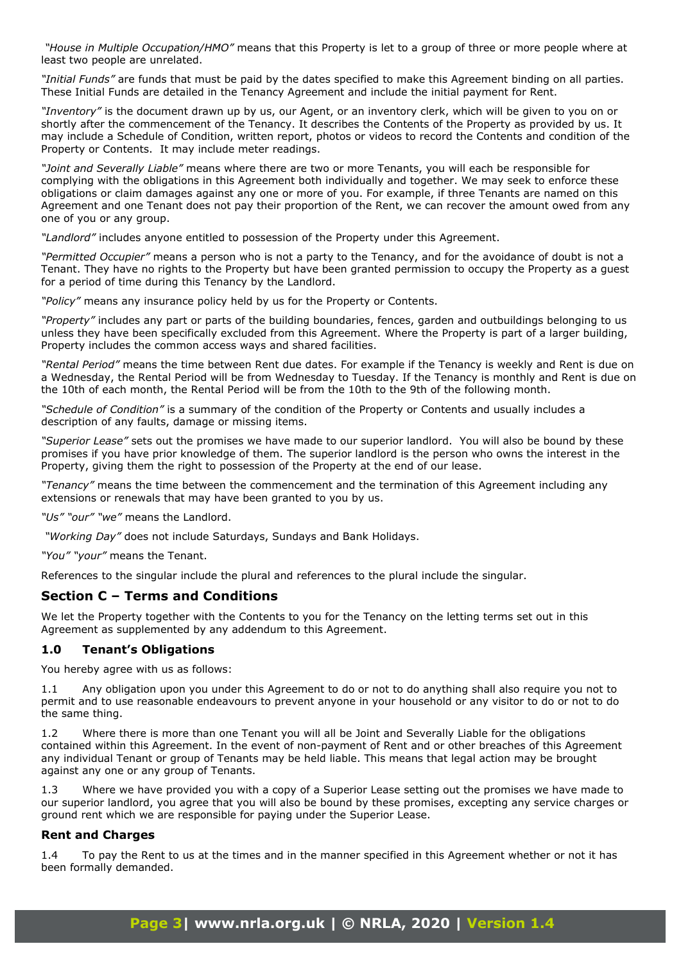*"House in Multiple Occupation/HMO"* means that this Property is let to a group of three or more people where at least two people are unrelated.

*"Initial Funds"* are funds that must be paid by the dates specified to make this Agreement binding on all parties. These Initial Funds are detailed in the Tenancy Agreement and include the initial payment for Rent.

*"Inventory"* is the document drawn up by us, our Agent, or an inventory clerk, which will be given to you on or shortly after the commencement of the Tenancy. It describes the Contents of the Property as provided by us. It may include a Schedule of Condition, written report, photos or videos to record the Contents and condition of the Property or Contents. It may include meter readings.

*"Joint and Severally Liable"* means where there are two or more Tenants, you will each be responsible for complying with the obligations in this Agreement both individually and together. We may seek to enforce these obligations or claim damages against any one or more of you. For example, if three Tenants are named on this Agreement and one Tenant does not pay their proportion of the Rent, we can recover the amount owed from any one of you or any group.

*"Landlord"* includes anyone entitled to possession of the Property under this Agreement.

*"Permitted Occupier"* means a person who is not a party to the Tenancy, and for the avoidance of doubt is not a Tenant. They have no rights to the Property but have been granted permission to occupy the Property as a guest for a period of time during this Tenancy by the Landlord.

*"Policy"* means any insurance policy held by us for the Property or Contents.

*"Property"* includes any part or parts of the building boundaries, fences, garden and outbuildings belonging to us unless they have been specifically excluded from this Agreement. Where the Property is part of a larger building, Property includes the common access ways and shared facilities.

*"Rental Period"* means the time between Rent due dates. For example if the Tenancy is weekly and Rent is due on a Wednesday, the Rental Period will be from Wednesday to Tuesday. If the Tenancy is monthly and Rent is due on the 10th of each month, the Rental Period will be from the 10th to the 9th of the following month.

*"Schedule of Condition"* is a summary of the condition of the Property or Contents and usually includes a description of any faults, damage or missing items.

*"Superior Lease"* sets out the promises we have made to our superior landlord. You will also be bound by these promises if you have prior knowledge of them. The superior landlord is the person who owns the interest in the Property, giving them the right to possession of the Property at the end of our lease.

*"Tenancy"* means the time between the commencement and the termination of this Agreement including any extensions or renewals that may have been granted to you by us.

*"Us" "our" "we"* means the Landlord.

 *"Working Day"* does not include Saturdays, Sundays and Bank Holidays.

*"You" "your"* means the Tenant.

References to the singular include the plural and references to the plural include the singular.

## **Section C – Terms and Conditions**

We let the Property together with the Contents to you for the Tenancy on the letting terms set out in this Agreement as supplemented by any addendum to this Agreement.

#### **1.0 Tenant's Obligations**

You hereby agree with us as follows:

Any obligation upon you under this Agreement to do or not to do anything shall also require you not to permit and to use reasonable endeavours to prevent anyone in your household or any visitor to do or not to do the same thing.

1.2 Where there is more than one Tenant you will all be Joint and Severally Liable for the obligations contained within this Agreement. In the event of non-payment of Rent and or other breaches of this Agreement any individual Tenant or group of Tenants may be held liable. This means that legal action may be brought against any one or any group of Tenants.

1.3 Where we have provided you with a copy of a Superior Lease setting out the promises we have made to our superior landlord, you agree that you will also be bound by these promises, excepting any service charges or ground rent which we are responsible for paying under the Superior Lease.

#### **Rent and Charges**

1.4 To pay the Rent to us at the times and in the manner specified in this Agreement whether or not it has been formally demanded.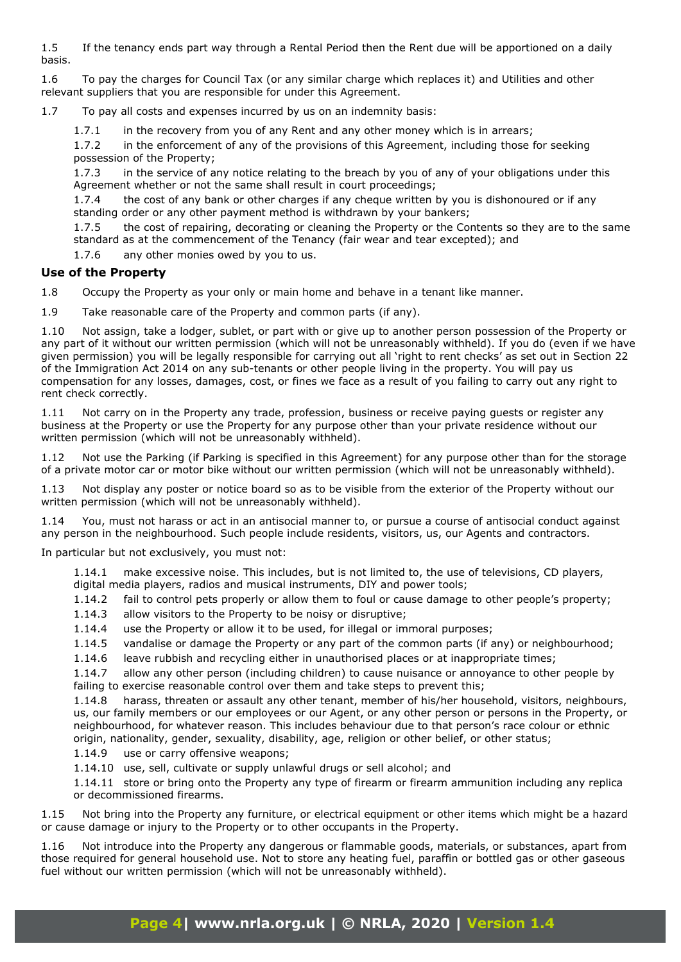1.5 If the tenancy ends part way through a Rental Period then the Rent due will be apportioned on a daily basis.

1.6 To pay the charges for Council Tax (or any similar charge which replaces it) and Utilities and other relevant suppliers that you are responsible for under this Agreement.

1.7 To pay all costs and expenses incurred by us on an indemnity basis:

1.7.1 in the recovery from you of any Rent and any other money which is in arrears;

1.7.2 in the enforcement of any of the provisions of this Agreement, including those for seeking possession of the Property;

1.7.3 in the service of any notice relating to the breach by you of any of your obligations under this Agreement whether or not the same shall result in court proceedings;

1.7.4 the cost of any bank or other charges if any cheque written by you is dishonoured or if any standing order or any other payment method is withdrawn by your bankers;

1.7.5 the cost of repairing, decorating or cleaning the Property or the Contents so they are to the same standard as at the commencement of the Tenancy (fair wear and tear excepted); and

1.7.6 any other monies owed by you to us.

### **Use of the Property**

1.8 Occupy the Property as your only or main home and behave in a tenant like manner.

1.9 Take reasonable care of the Property and common parts (if any).

1.10 Not assign, take a lodger, sublet, or part with or give up to another person possession of the Property or any part of it without our written permission (which will not be unreasonably withheld). If you do (even if we have given permission) you will be legally responsible for carrying out all 'right to rent checks' as set out in Section 22 of the Immigration Act 2014 on any sub-tenants or other people living in the property. You will pay us compensation for any losses, damages, cost, or fines we face as a result of you failing to carry out any right to rent check correctly.

1.11 Not carry on in the Property any trade, profession, business or receive paying guests or register any business at the Property or use the Property for any purpose other than your private residence without our written permission (which will not be unreasonably withheld).

1.12 Not use the Parking (if Parking is specified in this Agreement) for any purpose other than for the storage of a private motor car or motor bike without our written permission (which will not be unreasonably withheld).

1.13 Not display any poster or notice board so as to be visible from the exterior of the Property without our written permission (which will not be unreasonably withheld).

1.14 You, must not harass or act in an antisocial manner to, or pursue a course of antisocial conduct against any person in the neighbourhood. Such people include residents, visitors, us, our Agents and contractors.

In particular but not exclusively, you must not:

1.14.1 make excessive noise. This includes, but is not limited to, the use of televisions, CD players, digital media players, radios and musical instruments, DIY and power tools;

1.14.2 fail to control pets properly or allow them to foul or cause damage to other people's property;

1.14.3 allow visitors to the Property to be noisy or disruptive;

1.14.4 use the Property or allow it to be used, for illegal or immoral purposes;

1.14.5 vandalise or damage the Property or any part of the common parts (if any) or neighbourhood;

1.14.6 leave rubbish and recycling either in unauthorised places or at inappropriate times;

1.14.7 allow any other person (including children) to cause nuisance or annoyance to other people by failing to exercise reasonable control over them and take steps to prevent this;

1.14.8 harass, threaten or assault any other tenant, member of his/her household, visitors, neighbours, us, our family members or our employees or our Agent, or any other person or persons in the Property, or neighbourhood, for whatever reason. This includes behaviour due to that person's race colour or ethnic origin, nationality, gender, sexuality, disability, age, religion or other belief, or other status;

1.14.9 use or carry offensive weapons;

1.14.10 use, sell, cultivate or supply unlawful drugs or sell alcohol; and

1.14.11 store or bring onto the Property any type of firearm or firearm ammunition including any replica or decommissioned firearms.

1.15 Not bring into the Property any furniture, or electrical equipment or other items which might be a hazard or cause damage or injury to the Property or to other occupants in the Property.

1.16 Not introduce into the Property any dangerous or flammable goods, materials, or substances, apart from those required for general household use. Not to store any heating fuel, paraffin or bottled gas or other gaseous fuel without our written permission (which will not be unreasonably withheld).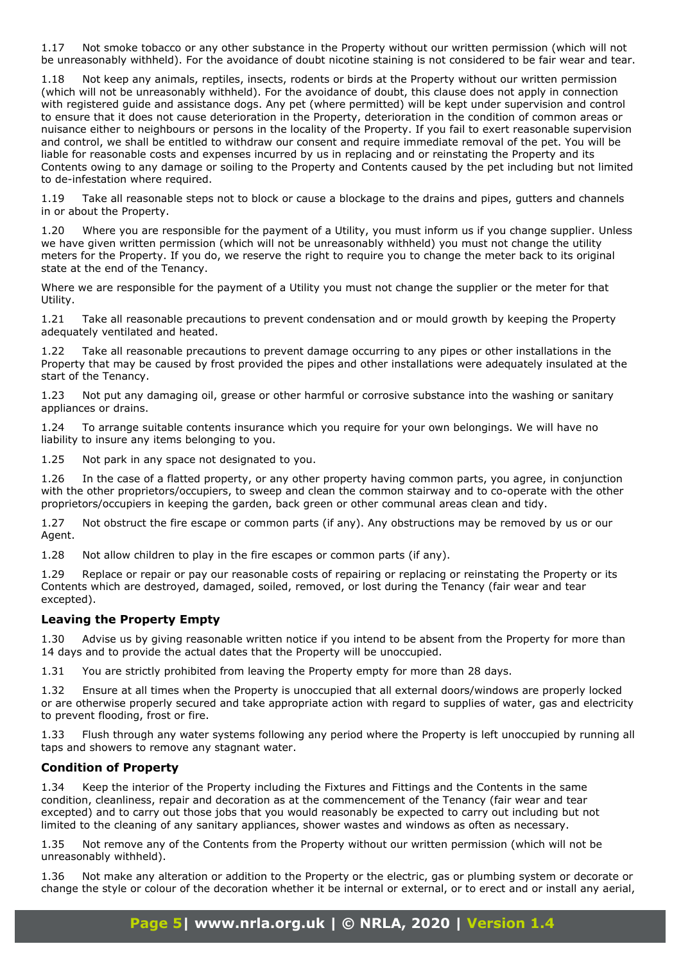1.17 Not smoke tobacco or any other substance in the Property without our written permission (which will not be unreasonably withheld). For the avoidance of doubt nicotine staining is not considered to be fair wear and tear.

1.18 Not keep any animals, reptiles, insects, rodents or birds at the Property without our written permission (which will not be unreasonably withheld). For the avoidance of doubt, this clause does not apply in connection with registered guide and assistance dogs. Any pet (where permitted) will be kept under supervision and control to ensure that it does not cause deterioration in the Property, deterioration in the condition of common areas or nuisance either to neighbours or persons in the locality of the Property. If you fail to exert reasonable supervision and control, we shall be entitled to withdraw our consent and require immediate removal of the pet. You will be liable for reasonable costs and expenses incurred by us in replacing and or reinstating the Property and its Contents owing to any damage or soiling to the Property and Contents caused by the pet including but not limited to de-infestation where required.

1.19 Take all reasonable steps not to block or cause a blockage to the drains and pipes, gutters and channels in or about the Property.

1.20 Where you are responsible for the payment of a Utility, you must inform us if you change supplier. Unless we have given written permission (which will not be unreasonably withheld) you must not change the utility meters for the Property. If you do, we reserve the right to require you to change the meter back to its original state at the end of the Tenancy.

Where we are responsible for the payment of a Utility you must not change the supplier or the meter for that Utility.

1.21 Take all reasonable precautions to prevent condensation and or mould growth by keeping the Property adequately ventilated and heated.

1.22 Take all reasonable precautions to prevent damage occurring to any pipes or other installations in the Property that may be caused by frost provided the pipes and other installations were adequately insulated at the start of the Tenancy.

1.23 Not put any damaging oil, grease or other harmful or corrosive substance into the washing or sanitary appliances or drains.

1.24 To arrange suitable contents insurance which you require for your own belongings. We will have no liability to insure any items belonging to you.

1.25 Not park in any space not designated to you.

1.26 In the case of a flatted property, or any other property having common parts, you agree, in conjunction with the other proprietors/occupiers, to sweep and clean the common stairway and to co-operate with the other proprietors/occupiers in keeping the garden, back green or other communal areas clean and tidy.

1.27 Not obstruct the fire escape or common parts (if any). Any obstructions may be removed by us or our Agent.

1.28 Not allow children to play in the fire escapes or common parts (if any).

1.29 Replace or repair or pay our reasonable costs of repairing or replacing or reinstating the Property or its Contents which are destroyed, damaged, soiled, removed, or lost during the Tenancy (fair wear and tear excepted).

#### **Leaving the Property Empty**

1.30 Advise us by giving reasonable written notice if you intend to be absent from the Property for more than 14 days and to provide the actual dates that the Property will be unoccupied.

1.31 You are strictly prohibited from leaving the Property empty for more than 28 days.

1.32 Ensure at all times when the Property is unoccupied that all external doors/windows are properly locked or are otherwise properly secured and take appropriate action with regard to supplies of water, gas and electricity to prevent flooding, frost or fire.

1.33 Flush through any water systems following any period where the Property is left unoccupied by running all taps and showers to remove any stagnant water.

### **Condition of Property**

1.34 Keep the interior of the Property including the Fixtures and Fittings and the Contents in the same condition, cleanliness, repair and decoration as at the commencement of the Tenancy (fair wear and tear excepted) and to carry out those jobs that you would reasonably be expected to carry out including but not limited to the cleaning of any sanitary appliances, shower wastes and windows as often as necessary.

1.35 Not remove any of the Contents from the Property without our written permission (which will not be unreasonably withheld).

1.36 Not make any alteration or addition to the Property or the electric, gas or plumbing system or decorate or change the style or colour of the decoration whether it be internal or external, or to erect and or install any aerial,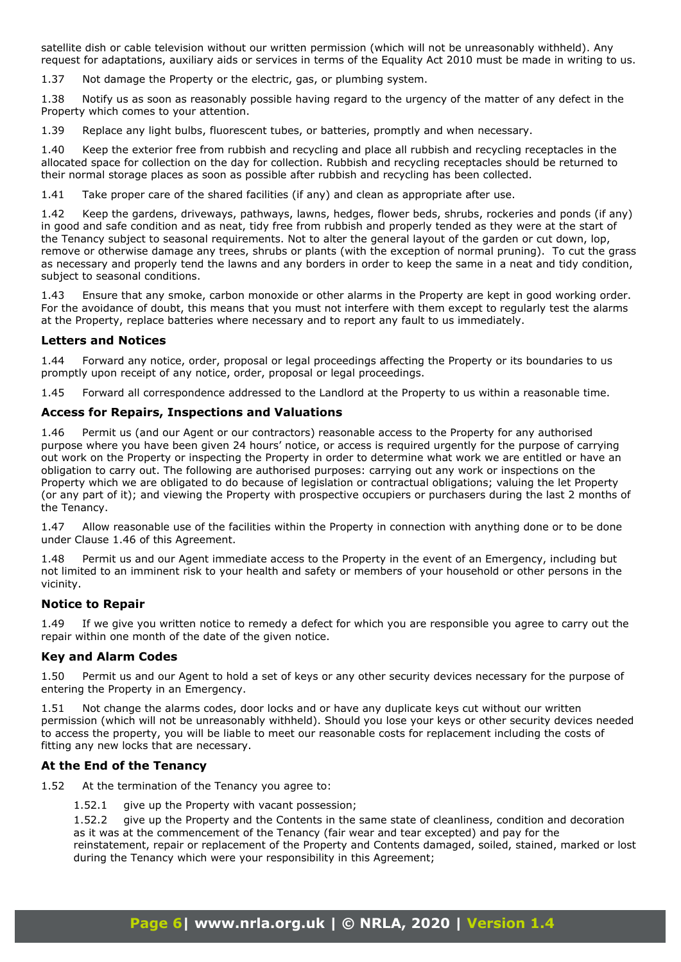satellite dish or cable television without our written permission (which will not be unreasonably withheld). Any request for adaptations, auxiliary aids or services in terms of the Equality Act 2010 must be made in writing to us.

1.37 Not damage the Property or the electric, gas, or plumbing system.

1.38 Notify us as soon as reasonably possible having regard to the urgency of the matter of any defect in the Property which comes to your attention.

1.39 Replace any light bulbs, fluorescent tubes, or batteries, promptly and when necessary.

1.40 Keep the exterior free from rubbish and recycling and place all rubbish and recycling receptacles in the allocated space for collection on the day for collection. Rubbish and recycling receptacles should be returned to their normal storage places as soon as possible after rubbish and recycling has been collected.

1.41 Take proper care of the shared facilities (if any) and clean as appropriate after use.

1.42 Keep the gardens, driveways, pathways, lawns, hedges, flower beds, shrubs, rockeries and ponds (if any) in good and safe condition and as neat, tidy free from rubbish and properly tended as they were at the start of the Tenancy subject to seasonal requirements. Not to alter the general layout of the garden or cut down, lop, remove or otherwise damage any trees, shrubs or plants (with the exception of normal pruning). To cut the grass as necessary and properly tend the lawns and any borders in order to keep the same in a neat and tidy condition, subject to seasonal conditions.

1.43 Ensure that any smoke, carbon monoxide or other alarms in the Property are kept in good working order. For the avoidance of doubt, this means that you must not interfere with them except to regularly test the alarms at the Property, replace batteries where necessary and to report any fault to us immediately.

#### **Letters and Notices**

1.44 Forward any notice, order, proposal or legal proceedings affecting the Property or its boundaries to us promptly upon receipt of any notice, order, proposal or legal proceedings.

1.45 Forward all correspondence addressed to the Landlord at the Property to us within a reasonable time.

#### **Access for Repairs, Inspections and Valuations**

1.46 Permit us (and our Agent or our contractors) reasonable access to the Property for any authorised purpose where you have been given 24 hours' notice, or access is required urgently for the purpose of carrying out work on the Property or inspecting the Property in order to determine what work we are entitled or have an obligation to carry out. The following are authorised purposes: carrying out any work or inspections on the Property which we are obligated to do because of legislation or contractual obligations; valuing the let Property (or any part of it); and viewing the Property with prospective occupiers or purchasers during the last 2 months of the Tenancy.

1.47 Allow reasonable use of the facilities within the Property in connection with anything done or to be done under Clause 1.46 of this Agreement.

1.48 Permit us and our Agent immediate access to the Property in the event of an Emergency, including but not limited to an imminent risk to your health and safety or members of your household or other persons in the vicinity.

#### **Notice to Repair**

1.49 If we give you written notice to remedy a defect for which you are responsible you agree to carry out the repair within one month of the date of the given notice.

#### **Key and Alarm Codes**

1.50 Permit us and our Agent to hold a set of keys or any other security devices necessary for the purpose of entering the Property in an Emergency.

1.51 Not change the alarms codes, door locks and or have any duplicate keys cut without our written permission (which will not be unreasonably withheld). Should you lose your keys or other security devices needed to access the property, you will be liable to meet our reasonable costs for replacement including the costs of fitting any new locks that are necessary.

#### **At the End of the Tenancy**

1.52 At the termination of the Tenancy you agree to:

1.52.1 give up the Property with vacant possession;

1.52.2 give up the Property and the Contents in the same state of cleanliness, condition and decoration as it was at the commencement of the Tenancy (fair wear and tear excepted) and pay for the reinstatement, repair or replacement of the Property and Contents damaged, soiled, stained, marked or lost during the Tenancy which were your responsibility in this Agreement;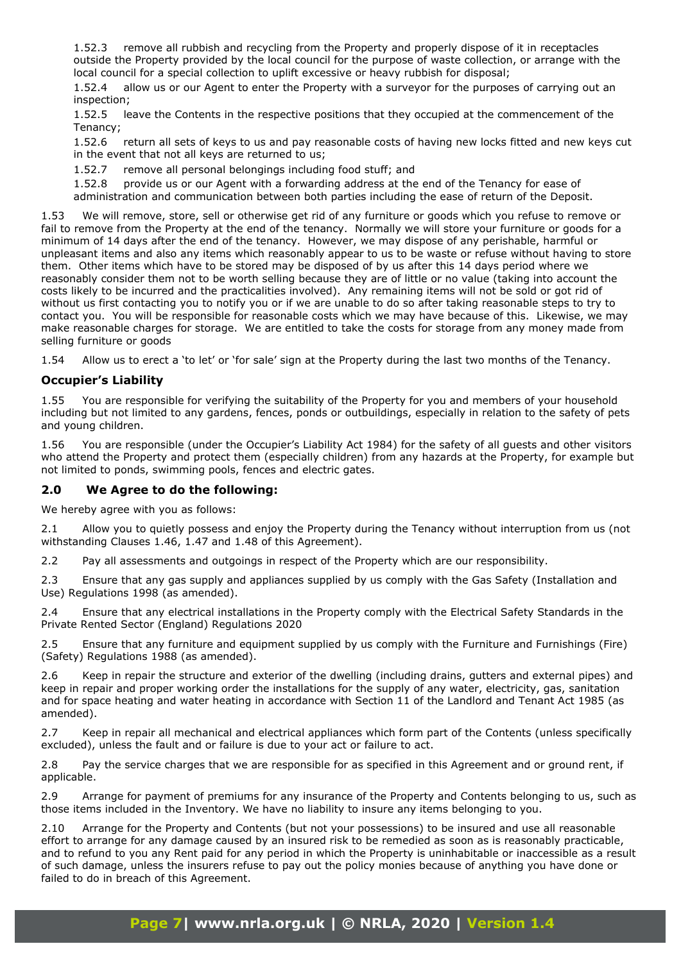1.52.3 remove all rubbish and recycling from the Property and properly dispose of it in receptacles outside the Property provided by the local council for the purpose of waste collection, or arrange with the local council for a special collection to uplift excessive or heavy rubbish for disposal;

1.52.4 allow us or our Agent to enter the Property with a surveyor for the purposes of carrying out an inspection;

1.52.5 leave the Contents in the respective positions that they occupied at the commencement of the Tenancy;

1.52.6 return all sets of keys to us and pay reasonable costs of having new locks fitted and new keys cut in the event that not all keys are returned to us;

1.52.7 remove all personal belongings including food stuff; and

1.52.8 provide us or our Agent with a forwarding address at the end of the Tenancy for ease of administration and communication between both parties including the ease of return of the Deposit.

1.53 We will remove, store, sell or otherwise get rid of any furniture or goods which you refuse to remove or fail to remove from the Property at the end of the tenancy. Normally we will store your furniture or goods for a minimum of 14 days after the end of the tenancy. However, we may dispose of any perishable, harmful or unpleasant items and also any items which reasonably appear to us to be waste or refuse without having to store them. Other items which have to be stored may be disposed of by us after this 14 days period where we reasonably consider them not to be worth selling because they are of little or no value (taking into account the costs likely to be incurred and the practicalities involved). Any remaining items will not be sold or got rid of without us first contacting you to notify you or if we are unable to do so after taking reasonable steps to try to contact you. You will be responsible for reasonable costs which we may have because of this. Likewise, we may make reasonable charges for storage. We are entitled to take the costs for storage from any money made from selling furniture or goods

1.54 Allow us to erect a 'to let' or 'for sale' sign at the Property during the last two months of the Tenancy.

### **Occupier's Liability**

1.55 You are responsible for verifying the suitability of the Property for you and members of your household including but not limited to any gardens, fences, ponds or outbuildings, especially in relation to the safety of pets and young children.

1.56 You are responsible (under the Occupier's Liability Act 1984) for the safety of all guests and other visitors who attend the Property and protect them (especially children) from any hazards at the Property, for example but not limited to ponds, swimming pools, fences and electric gates.

### **2.0 We Agree to do the following:**

We hereby agree with you as follows:

2.1 Allow you to quietly possess and enjoy the Property during the Tenancy without interruption from us (not withstanding Clauses 1.46, 1.47 and 1.48 of this Agreement).

2.2 Pay all assessments and outgoings in respect of the Property which are our responsibility.

2.3 Ensure that any gas supply and appliances supplied by us comply with the Gas Safety (Installation and Use) Regulations 1998 (as amended).

2.4 Ensure that any electrical installations in the Property comply with the Electrical Safety Standards in the Private Rented Sector (England) Regulations 2020

2.5 Ensure that any furniture and equipment supplied by us comply with the Furniture and Furnishings (Fire) (Safety) Regulations 1988 (as amended).

2.6 Keep in repair the structure and exterior of the dwelling (including drains, gutters and external pipes) and keep in repair and proper working order the installations for the supply of any water, electricity, gas, sanitation and for space heating and water heating in accordance with Section 11 of the Landlord and Tenant Act 1985 (as amended).

2.7 Keep in repair all mechanical and electrical appliances which form part of the Contents (unless specifically excluded), unless the fault and or failure is due to your act or failure to act.

2.8 Pay the service charges that we are responsible for as specified in this Agreement and or ground rent, if applicable.

2.9 Arrange for payment of premiums for any insurance of the Property and Contents belonging to us, such as those items included in the Inventory. We have no liability to insure any items belonging to you.

2.10 Arrange for the Property and Contents (but not your possessions) to be insured and use all reasonable effort to arrange for any damage caused by an insured risk to be remedied as soon as is reasonably practicable, and to refund to you any Rent paid for any period in which the Property is uninhabitable or inaccessible as a result of such damage, unless the insurers refuse to pay out the policy monies because of anything you have done or failed to do in breach of this Agreement.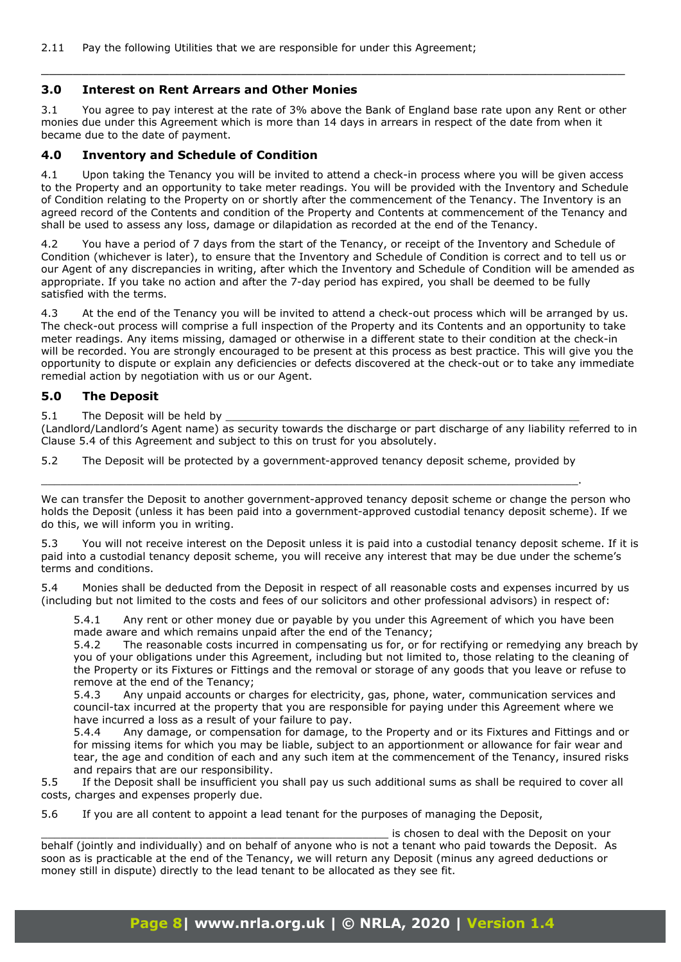#### **3.0 Interest on Rent Arrears and Other Monies**

3.1 You agree to pay interest at the rate of 3% above the Bank of England base rate upon any Rent or other monies due under this Agreement which is more than 14 days in arrears in respect of the date from when it became due to the date of payment.

 $\_$  , and the contribution of the contribution of  $\mathcal{L}_\mathcal{A}$  , and the contribution of  $\mathcal{L}_\mathcal{A}$ 

## **4.0 Inventory and Schedule of Condition**

4.1 Upon taking the Tenancy you will be invited to attend a check-in process where you will be given access to the Property and an opportunity to take meter readings. You will be provided with the Inventory and Schedule of Condition relating to the Property on or shortly after the commencement of the Tenancy. The Inventory is an agreed record of the Contents and condition of the Property and Contents at commencement of the Tenancy and shall be used to assess any loss, damage or dilapidation as recorded at the end of the Tenancy.

4.2 You have a period of 7 days from the start of the Tenancy, or receipt of the Inventory and Schedule of Condition (whichever is later), to ensure that the Inventory and Schedule of Condition is correct and to tell us or our Agent of any discrepancies in writing, after which the Inventory and Schedule of Condition will be amended as appropriate. If you take no action and after the 7-day period has expired, you shall be deemed to be fully satisfied with the terms.

4.3 At the end of the Tenancy you will be invited to attend a check-out process which will be arranged by us. The check-out process will comprise a full inspection of the Property and its Contents and an opportunity to take meter readings. Any items missing, damaged or otherwise in a different state to their condition at the check-in will be recorded. You are strongly encouraged to be present at this process as best practice. This will give you the opportunity to dispute or explain any deficiencies or defects discovered at the check-out or to take any immediate remedial action by negotiation with us or our Agent.

### **5.0 The Deposit**

5.1 The Deposit will be held by

(Landlord/Landlord's Agent name) as security towards the discharge or part discharge of any liability referred to in Clause 5.4 of this Agreement and subject to this on trust for you absolutely.

5.2 The Deposit will be protected by a government-approved tenancy deposit scheme, provided by \_\_\_\_\_\_\_\_\_\_\_\_\_\_\_\_\_\_\_\_\_\_\_\_\_\_\_\_\_\_\_\_\_\_\_\_\_\_\_\_\_\_\_\_\_\_\_\_\_\_\_\_\_\_\_\_\_\_\_\_\_\_\_\_\_\_\_\_\_\_\_\_\_\_\_\_\_\_\_\_\_\_.

We can transfer the Deposit to another government-approved tenancy deposit scheme or change the person who holds the Deposit (unless it has been paid into a government-approved custodial tenancy deposit scheme). If we do this, we will inform you in writing.

5.3 You will not receive interest on the Deposit unless it is paid into a custodial tenancy deposit scheme. If it is paid into a custodial tenancy deposit scheme, you will receive any interest that may be due under the scheme's terms and conditions.

5.4 Monies shall be deducted from the Deposit in respect of all reasonable costs and expenses incurred by us (including but not limited to the costs and fees of our solicitors and other professional advisors) in respect of:

5.4.1 Any rent or other money due or payable by you under this Agreement of which you have been made aware and which remains unpaid after the end of the Tenancy;

5.4.2 The reasonable costs incurred in compensating us for, or for rectifying or remedying any breach by you of your obligations under this Agreement, including but not limited to, those relating to the cleaning of the Property or its Fixtures or Fittings and the removal or storage of any goods that you leave or refuse to remove at the end of the Tenancy;

5.4.3 Any unpaid accounts or charges for electricity, gas, phone, water, communication services and council-tax incurred at the property that you are responsible for paying under this Agreement where we have incurred a loss as a result of your failure to pay.

5.4.4 Any damage, or compensation for damage, to the Property and or its Fixtures and Fittings and or for missing items for which you may be liable, subject to an apportionment or allowance for fair wear and tear, the age and condition of each and any such item at the commencement of the Tenancy, insured risks and repairs that are our responsibility.

5.5 If the Deposit shall be insufficient you shall pay us such additional sums as shall be required to cover all costs, charges and expenses properly due.

5.6 If you are all content to appoint a lead tenant for the purposes of managing the Deposit,

is chosen to deal with the Deposit on your

behalf (jointly and individually) and on behalf of anyone who is not a tenant who paid towards the Deposit. As soon as is practicable at the end of the Tenancy, we will return any Deposit (minus any agreed deductions or money still in dispute) directly to the lead tenant to be allocated as they see fit.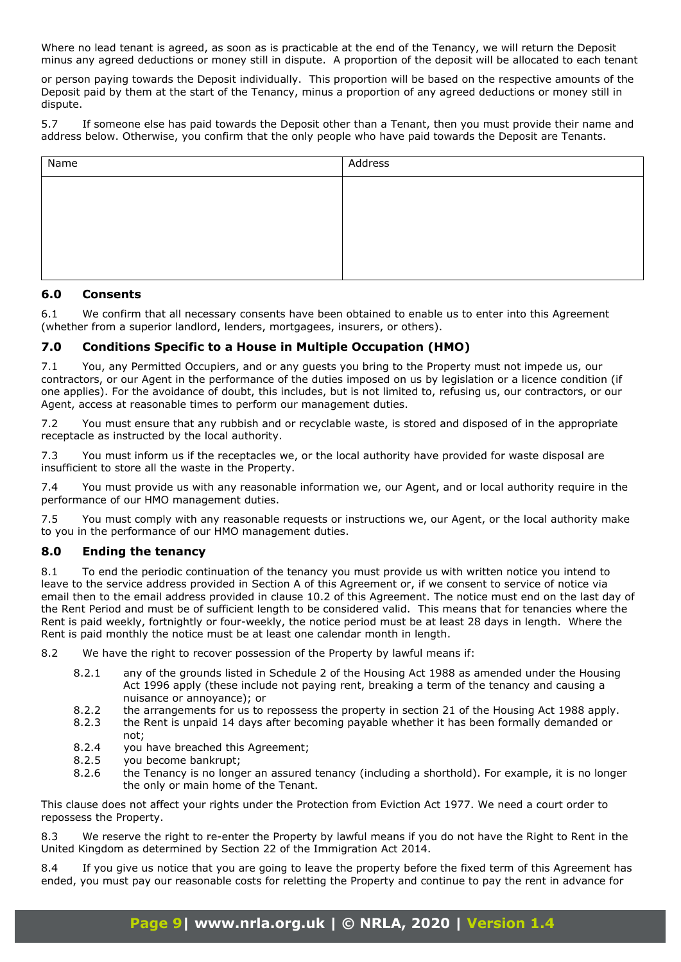Where no lead tenant is agreed, as soon as is practicable at the end of the Tenancy, we will return the Deposit minus any agreed deductions or money still in dispute. A proportion of the deposit will be allocated to each tenant

or person paying towards the Deposit individually. This proportion will be based on the respective amounts of the Deposit paid by them at the start of the Tenancy, minus a proportion of any agreed deductions or money still in dispute.

5.7 If someone else has paid towards the Deposit other than a Tenant, then you must provide their name and address below. Otherwise, you confirm that the only people who have paid towards the Deposit are Tenants.

| Name | Address |
|------|---------|
|      |         |
|      |         |
|      |         |
|      |         |
|      |         |

### **6.0 Consents**

6.1 We confirm that all necessary consents have been obtained to enable us to enter into this Agreement (whether from a superior landlord, lenders, mortgagees, insurers, or others).

## **7.0 Conditions Specific to a House in Multiple Occupation (HMO)**

7.1 You, any Permitted Occupiers, and or any guests you bring to the Property must not impede us, our contractors, or our Agent in the performance of the duties imposed on us by legislation or a licence condition (if one applies). For the avoidance of doubt, this includes, but is not limited to, refusing us, our contractors, or our Agent, access at reasonable times to perform our management duties.

7.2 You must ensure that any rubbish and or recyclable waste, is stored and disposed of in the appropriate receptacle as instructed by the local authority.

7.3 You must inform us if the receptacles we, or the local authority have provided for waste disposal are insufficient to store all the waste in the Property.

7.4 You must provide us with any reasonable information we, our Agent, and or local authority require in the performance of our HMO management duties.

7.5 You must comply with any reasonable requests or instructions we, our Agent, or the local authority make to you in the performance of our HMO management duties.

## **8.0 Ending the tenancy**

8.1 To end the periodic continuation of the tenancy you must provide us with written notice you intend to leave to the service address provided in Section A of this Agreement or, if we consent to service of notice via email then to the email address provided in clause 10.2 of this Agreement. The notice must end on the last day of the Rent Period and must be of sufficient length to be considered valid. This means that for tenancies where the Rent is paid weekly, fortnightly or four-weekly, the notice period must be at least 28 days in length. Where the Rent is paid monthly the notice must be at least one calendar month in length.

8.2 We have the right to recover possession of the Property by lawful means if:

- 8.2.1 any of the grounds listed in Schedule 2 of the Housing Act 1988 as amended under the Housing Act 1996 apply (these include not paying rent, breaking a term of the tenancy and causing a nuisance or annoyance); or
- 8.2.2 the arrangements for us to repossess the property in section 21 of the Housing Act 1988 apply.
- 8.2.3 the Rent is unpaid 14 days after becoming payable whether it has been formally demanded or not;
- 8.2.4 you have breached this Agreement;
- 8.2.5 you become bankrupt;
- 8.2.6 the Tenancy is no longer an assured tenancy (including a shorthold). For example, it is no longer the only or main home of the Tenant.

This clause does not affect your rights under the Protection from Eviction Act 1977. We need a court order to repossess the Property.

8.3 We reserve the right to re-enter the Property by lawful means if you do not have the Right to Rent in the United Kingdom as determined by Section 22 of the Immigration Act 2014.

8.4 If you give us notice that you are going to leave the property before the fixed term of this Agreement has ended, you must pay our reasonable costs for reletting the Property and continue to pay the rent in advance for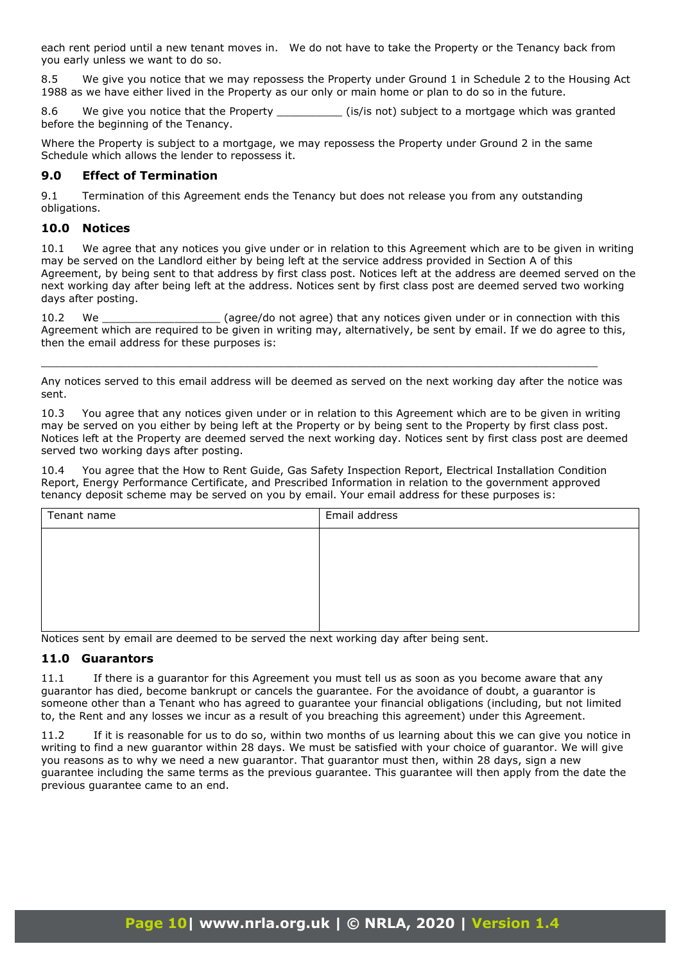each rent period until a new tenant moves in. We do not have to take the Property or the Tenancy back from you early unless we want to do so.

8.5 We give you notice that we may repossess the Property under Ground 1 in Schedule 2 to the Housing Act 1988 as we have either lived in the Property as our only or main home or plan to do so in the future.

8.6 We give you notice that the Property **Example 1** (is/is not) subject to a mortgage which was granted before the beginning of the Tenancy.

Where the Property is subject to a mortgage, we may repossess the Property under Ground 2 in the same Schedule which allows the lender to repossess it.

## **9.0 Effect of Termination**

9.1 Termination of this Agreement ends the Tenancy but does not release you from any outstanding obligations.

## **10.0 Notices**

10.1 We agree that any notices you give under or in relation to this Agreement which are to be given in writing may be served on the Landlord either by being left at the service address provided in Section A of this Agreement, by being sent to that address by first class post. Notices left at the address are deemed served on the next working day after being left at the address. Notices sent by first class post are deemed served two working days after posting.

10.2 We **Source (agree/do not agree)** that any notices given under or in connection with this Agreement which are required to be given in writing may, alternatively, be sent by email. If we do agree to this, then the email address for these purposes is:

Any notices served to this email address will be deemed as served on the next working day after the notice was sent.

\_\_\_\_\_\_\_\_\_\_\_\_\_\_\_\_\_\_\_\_\_\_\_\_\_\_\_\_\_\_\_\_\_\_\_\_\_\_\_\_\_\_\_\_\_\_\_\_\_\_\_\_\_\_\_\_\_\_\_\_\_\_\_\_\_\_\_\_\_\_\_\_\_\_\_\_\_\_\_\_\_\_\_\_\_

10.3 You agree that any notices given under or in relation to this Agreement which are to be given in writing may be served on you either by being left at the Property or by being sent to the Property by first class post. Notices left at the Property are deemed served the next working day. Notices sent by first class post are deemed served two working days after posting.

10.4 You agree that the How to Rent Guide, Gas Safety Inspection Report, Electrical Installation Condition Report, Energy Performance Certificate, and Prescribed Information in relation to the government approved tenancy deposit scheme may be served on you by email. Your email address for these purposes is:

| Tenant name | Email address |
|-------------|---------------|
|             |               |
|             |               |
|             |               |
|             |               |
|             |               |

Notices sent by email are deemed to be served the next working day after being sent.

### **11.0 Guarantors**

11.1 If there is a guarantor for this Agreement you must tell us as soon as you become aware that any guarantor has died, become bankrupt or cancels the guarantee. For the avoidance of doubt, a guarantor is someone other than a Tenant who has agreed to guarantee your financial obligations (including, but not limited to, the Rent and any losses we incur as a result of you breaching this agreement) under this Agreement.

11.2 If it is reasonable for us to do so, within two months of us learning about this we can give you notice in writing to find a new guarantor within 28 days. We must be satisfied with your choice of guarantor. We will give you reasons as to why we need a new guarantor. That guarantor must then, within 28 days, sign a new guarantee including the same terms as the previous guarantee. This guarantee will then apply from the date the previous guarantee came to an end.